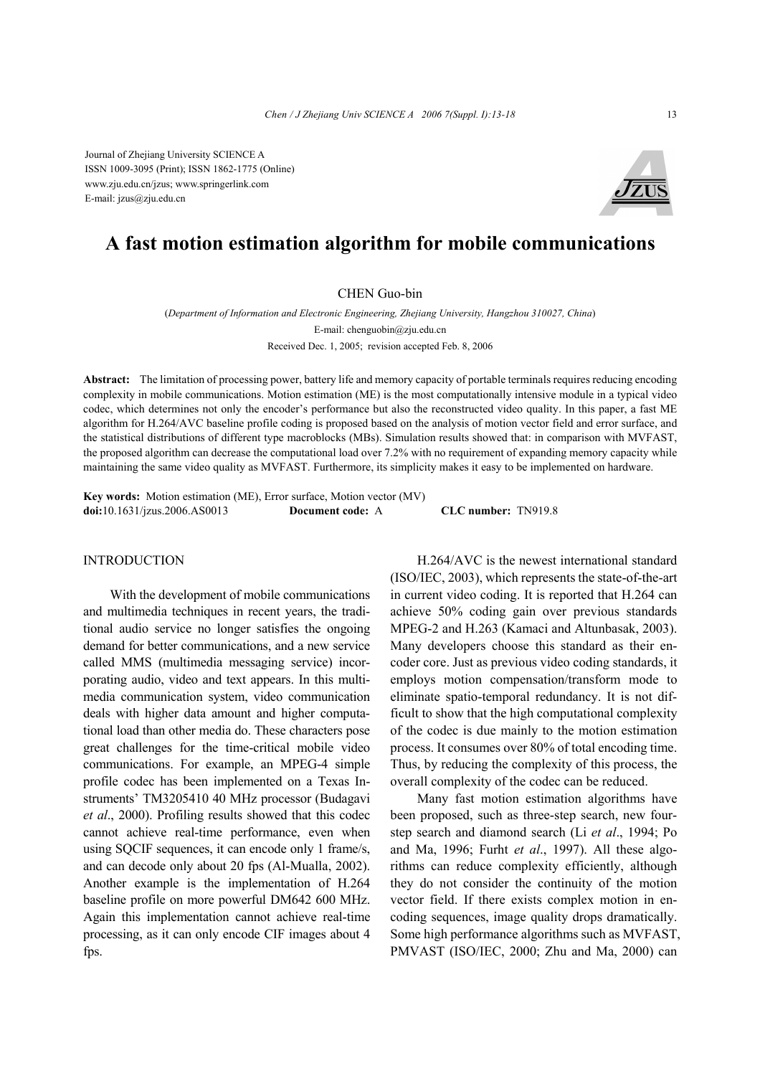Journal of Zhejiang University SCIENCE A ISSN 1009-3095 (Print); ISSN 1862-1775 (Online) www.zju.edu.cn/jzus; www.springerlink.com E-mail: jzus@zju.edu.cn



# **A fast motion estimation algorithm for mobile communications**

#### CHEN Guo-bin

(*Department of Information and Electronic Engineering, Zhejiang University, Hangzhou 310027, China*) E-mail: chenguobin@zju.edu.cn Received Dec. 1, 2005; revision accepted Feb. 8, 2006

**Abstract:** The limitation of processing power, battery life and memory capacity of portable terminals requires reducing encoding complexity in mobile communications. Motion estimation (ME) is the most computationally intensive module in a typical video codec, which determines not only the encoder's performance but also the reconstructed video quality. In this paper, a fast ME algorithm for H.264/AVC baseline profile coding is proposed based on the analysis of motion vector field and error surface, and the statistical distributions of different type macroblocks (MBs). Simulation results showed that: in comparison with MVFAST, the proposed algorithm can decrease the computational load over 7.2% with no requirement of expanding memory capacity while maintaining the same video quality as MVFAST. Furthermore, its simplicity makes it easy to be implemented on hardware.

**Key words:** Motion estimation (ME), Error surface, Motion vector (MV) **doi:**10.1631/jzus.2006.AS0013 **Document code:** A **CLC number:** TN919.8

## INTRODUCTION

With the development of mobile communications and multimedia techniques in recent years, the traditional audio service no longer satisfies the ongoing demand for better communications, and a new service called MMS (multimedia messaging service) incorporating audio, video and text appears. In this multimedia communication system, video communication deals with higher data amount and higher computational load than other media do. These characters pose great challenges for the time-critical mobile video communications. For example, an MPEG-4 simple profile codec has been implemented on a Texas Instruments' TM3205410 40 MHz processor (Budagavi *et al*., 2000). Profiling results showed that this codec cannot achieve real-time performance, even when using SQCIF sequences, it can encode only 1 frame/s, and can decode only about 20 fps (Al-Mualla, 2002). Another example is the implementation of H.264 baseline profile on more powerful DM642 600 MHz. Again this implementation cannot achieve real-time processing, as it can only encode CIF images about 4 fps.

H.264/AVC is the newest international standard (ISO/IEC, 2003), which represents the state-of-the-art in current video coding. It is reported that H.264 can achieve 50% coding gain over previous standards MPEG-2 and H.263 (Kamaci and Altunbasak, 2003). Many developers choose this standard as their encoder core. Just as previous video coding standards, it employs motion compensation/transform mode to eliminate spatio-temporal redundancy. It is not difficult to show that the high computational complexity of the codec is due mainly to the motion estimation process. It consumes over 80% of total encoding time. Thus, by reducing the complexity of this process, the overall complexity of the codec can be reduced.

Many fast motion estimation algorithms have been proposed, such as three-step search, new fourstep search and diamond search (Li *et al*., 1994; Po and Ma, 1996; Furht *et al*., 1997). All these algorithms can reduce complexity efficiently, although they do not consider the continuity of the motion vector field. If there exists complex motion in encoding sequences, image quality drops dramatically. Some high performance algorithms such as MVFAST, PMVAST (ISO/IEC, 2000; Zhu and Ma, 2000) can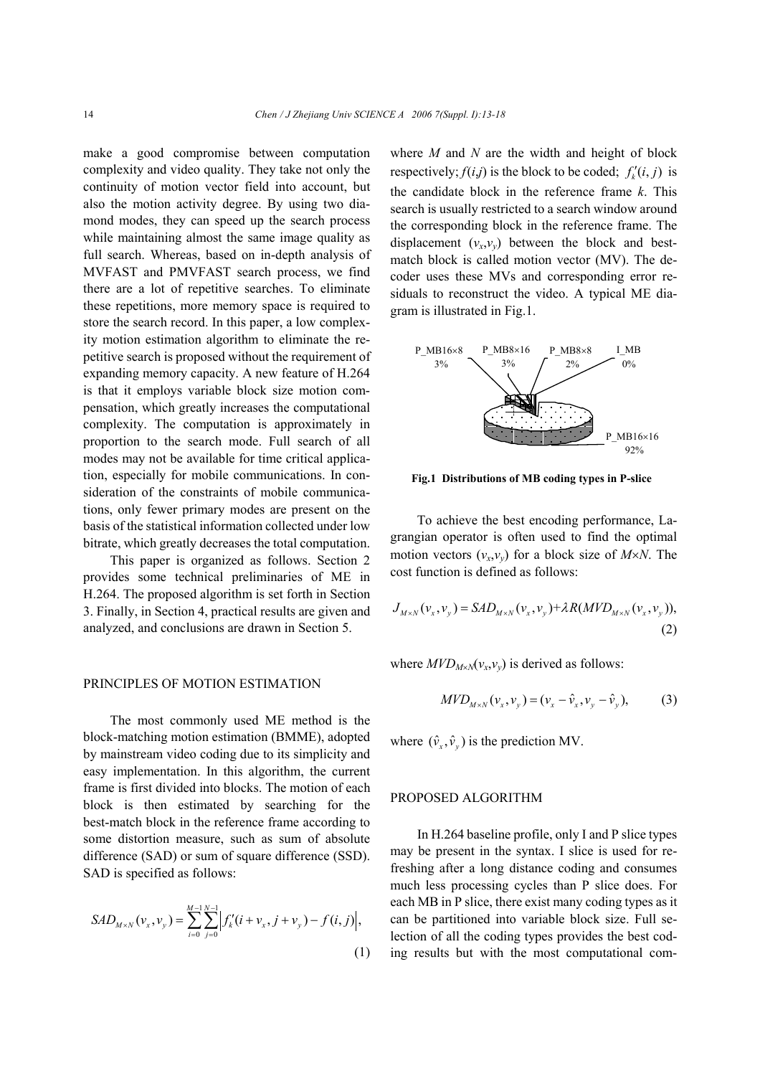make a good compromise between computation complexity and video quality. They take not only the continuity of motion vector field into account, but also the motion activity degree. By using two diamond modes, they can speed up the search process while maintaining almost the same image quality as full search. Whereas, based on in-depth analysis of MVFAST and PMVFAST search process, we find there are a lot of repetitive searches. To eliminate these repetitions, more memory space is required to store the search record. In this paper, a low complexity motion estimation algorithm to eliminate the repetitive search is proposed without the requirement of expanding memory capacity. A new feature of H.264 is that it employs variable block size motion compensation, which greatly increases the computational complexity. The computation is approximately in proportion to the search mode. Full search of all modes may not be available for time critical application, especially for mobile communications. In consideration of the constraints of mobile communications, only fewer primary modes are present on the basis of the statistical information collected under low bitrate, which greatly decreases the total computation.

This paper is organized as follows. Section 2 provides some technical preliminaries of ME in H.264. The proposed algorithm is set forth in Section 3. Finally, in Section 4, practical results are given and analyzed, and conclusions are drawn in Section 5.

## PRINCIPLES OF MOTION ESTIMATION

The most commonly used ME method is the block-matching motion estimation (BMME), adopted by mainstream video coding due to its simplicity and easy implementation. In this algorithm, the current frame is first divided into blocks. The motion of each block is then estimated by searching for the best-match block in the reference frame according to some distortion measure, such as sum of absolute difference (SAD) or sum of square difference (SSD). SAD is specified as follows:

$$
SAD_{M\times N}(v_x, v_y) = \sum_{i=0}^{M-1} \sum_{j=0}^{N-1} \left| f'_k(i + v_x, j + v_y) - f(i, j) \right|,
$$
\n(1)

where *M* and *N* are the width and height of block respectively;  $f(i,j)$  is the block to be coded;  $f'_i(i,j)$  is the candidate block in the reference frame *k*. This search is usually restricted to a search window around the corresponding block in the reference frame. The displacement  $(v_x, v_y)$  between the block and bestmatch block is called motion vector (MV). The decoder uses these MVs and corresponding error residuals to reconstruct the video. A typical ME diagram is illustrated in Fig.1.



**Fig.1 Distributions of MB coding types in P-slice**

To achieve the best encoding performance, Lagrangian operator is often used to find the optimal motion vectors  $(v_x, v_y)$  for a block size of *M*×*N*. The cost function is defined as follows:

$$
J_{M \times N}(v_x, v_y) = SAD_{M \times N}(v_x, v_y) + \lambda R(MVD_{M \times N}(v_x, v_y)),
$$
\n(2)

where  $MVD_{M\times N}(v_x,v_y)$  is derived as follows:

$$
MVD_{M\times N}(v_x, v_y) = (v_x - \hat{v}_x, v_y - \hat{v}_y),
$$
 (3)

where  $(\hat{v}_x, \hat{v}_y)$  is the prediction MV.

## PROPOSED ALGORITHM

In H.264 baseline profile, only I and P slice types may be present in the syntax. I slice is used for refreshing after a long distance coding and consumes much less processing cycles than P slice does. For each MB in P slice, there exist many coding types as it can be partitioned into variable block size. Full selection of all the coding types provides the best coding results but with the most computational com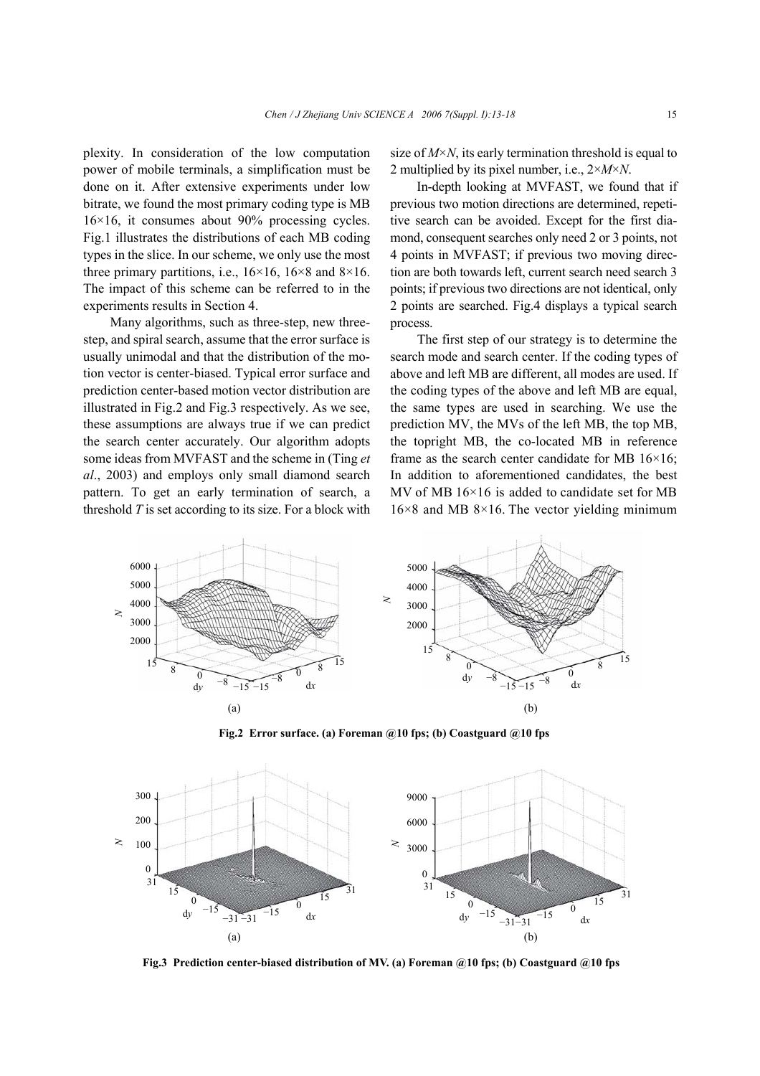plexity. In consideration of the low computation power of mobile terminals, a simplification must be done on it. After extensive experiments under low bitrate, we found the most primary coding type is MB 16×16, it consumes about 90% processing cycles. Fig.1 illustrates the distributions of each MB coding types in the slice. In our scheme, we only use the most three primary partitions, i.e.,  $16\times16$ ,  $16\times8$  and  $8\times16$ . The impact of this scheme can be referred to in the experiments results in Section 4.

Many algorithms, such as three-step, new threestep, and spiral search, assume that the error surface is usually unimodal and that the distribution of the motion vector is center-biased. Typical error surface and prediction center-based motion vector distribution are illustrated in Fig.2 and Fig.3 respectively. As we see, these assumptions are always true if we can predict the search center accurately. Our algorithm adopts some ideas from MVFAST and the scheme in (Ting *et al*., 2003) and employs only small diamond search pattern. To get an early termination of search, a threshold *T* is set according to its size. For a block with size of *M*×*N*, its early termination threshold is equal to 2 multiplied by its pixel number, i.e., 2×*M*×*N*.

In-depth looking at MVFAST, we found that if previous two motion directions are determined, repetitive search can be avoided. Except for the first diamond, consequent searches only need 2 or 3 points, not 4 points in MVFAST; if previous two moving direction are both towards left, current search need search 3 points; if previous two directions are not identical, only 2 points are searched. Fig.4 displays a typical search process.

The first step of our strategy is to determine the search mode and search center. If the coding types of above and left MB are different, all modes are used. If the coding types of the above and left MB are equal, the same types are used in searching. We use the prediction MV, the MVs of the left MB, the top MB, the topright MB, the co-located MB in reference frame as the search center candidate for MB 16×16; In addition to aforementioned candidates, the best MV of MB 16×16 is added to candidate set for MB  $16\times8$  and MB  $8\times16$ . The vector yielding minimum



**Fig.2 Error surface. (a) Foreman @10 fps; (b) Coastguard @10 fps**



**Fig.3 Prediction center-biased distribution of MV. (a) Foreman @10 fps; (b) Coastguard @10 fps**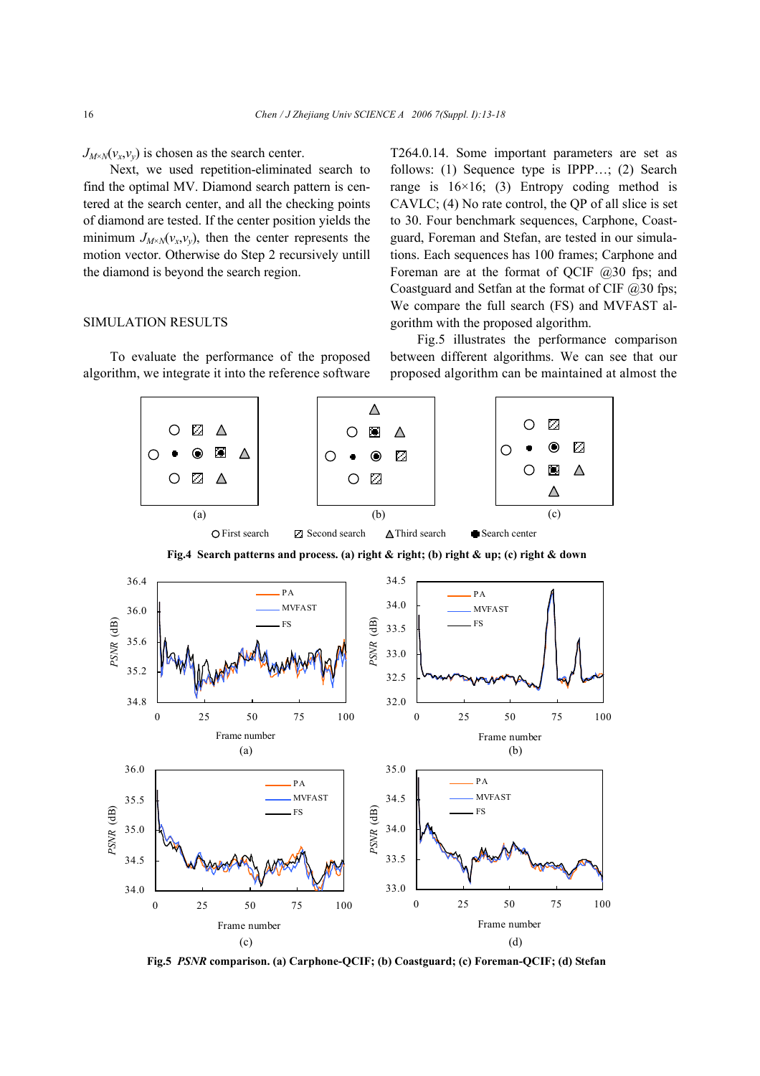$J_{M \times N}(v_x, v_y)$  is chosen as the search center.

Next, we used repetition-eliminated search to find the optimal MV. Diamond search pattern is centered at the search center, and all the checking points of diamond are tested. If the center position yields the minimum  $J_{M\times N}(v_x, v_y)$ , then the center represents the motion vector. Otherwise do Step 2 recursively untill the diamond is beyond the search region.

## SIMULATION RESULTS

To evaluate the performance of the proposed algorithm, we integrate it into the reference software T264.0.14. Some important parameters are set as follows: (1) Sequence type is IPPP…; (2) Search range is  $16\times16$ ; (3) Entropy coding method is CAVLC; (4) No rate control, the QP of all slice is set to 30. Four benchmark sequences, Carphone, Coastguard, Foreman and Stefan, are tested in our simulations. Each sequences has 100 frames; Carphone and Foreman are at the format of QCIF @30 fps; and Coastguard and Setfan at the format of CIF @30 fps; We compare the full search (FS) and MVFAST algorithm with the proposed algorithm.

Fig.5 illustrates the performance comparison between different algorithms. We can see that our proposed algorithm can be maintained at almost the



**Fig.5** *PSNR* **comparison. (a) Carphone-QCIF; (b) Coastguard; (c) Foreman-QCIF; (d) Stefan**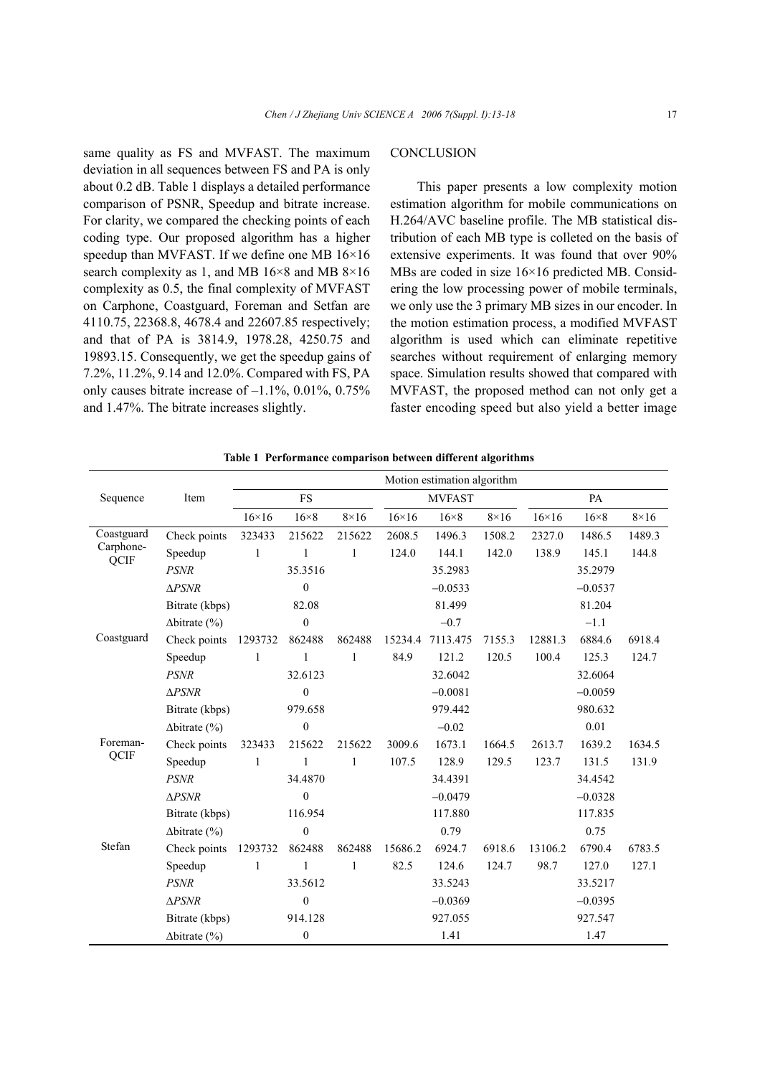same quality as FS and MVFAST. The maximum deviation in all sequences between FS and PA is only about 0.2 dB. Table 1 displays a detailed performance comparison of PSNR, Speedup and bitrate increase. For clarity, we compared the checking points of each coding type. Our proposed algorithm has a higher speedup than MVFAST. If we define one MB  $16\times16$ search complexity as 1, and MB 16×8 and MB 8×16 complexity as 0.5, the final complexity of MVFAST on Carphone, Coastguard, Foreman and Setfan are 4110.75, 22368.8, 4678.4 and 22607.85 respectively; and that of PA is 3814.9, 1978.28, 4250.75 and 19893.15. Consequently, we get the speedup gains of 7.2%, 11.2%, 9.14 and 12.0%. Compared with FS, PA only causes bitrate increase of  $-1.1\%$ , 0.01%, 0.75% and 1.47%. The bitrate increases slightly.

# **CONCLUSION**

This paper presents a low complexity motion estimation algorithm for mobile communications on H.264/AVC baseline profile. The MB statistical distribution of each MB type is colleted on the basis of extensive experiments. It was found that over 90% MBs are coded in size 16×16 predicted MB. Considering the low processing power of mobile terminals, we only use the 3 primary MB sizes in our encoder. In the motion estimation process, a modified MVFAST algorithm is used which can eliminate repetitive searches without requirement of enlarging memory space. Simulation results showed that compared with MVFAST, the proposed method can not only get a faster encoding speed but also yield a better image

| Table 1 Performance comparison between different algorithms |  |
|-------------------------------------------------------------|--|
|                                                             |  |

|                                 |                      | Motion estimation algorithm |                  |              |               |             |             |              |             |             |
|---------------------------------|----------------------|-----------------------------|------------------|--------------|---------------|-------------|-------------|--------------|-------------|-------------|
| Sequence                        | Item                 | FS                          |                  |              | <b>MVFAST</b> |             |             | PA           |             |             |
|                                 |                      | $16\times16$                | $16\times8$      | $8\times16$  | $16\times16$  | $16\times8$ | $8\times16$ | $16\times16$ | $16\times8$ | $8\times16$ |
| Coastguard<br>Carphone-<br>QCIF | Check points         | 323433                      | 215622           | 215622       | 2608.5        | 1496.3      | 1508.2      | 2327.0       | 1486.5      | 1489.3      |
|                                 | Speedup              | 1                           | 1                | 1            | 124.0         | 144.1       | 142.0       | 138.9        | 145.1       | 144.8       |
|                                 | <b>PSNR</b>          |                             | 35.3516          |              |               | 35.2983     |             |              | 35.2979     |             |
|                                 | $\triangle PSNR$     |                             | $\boldsymbol{0}$ |              |               | $-0.0533$   |             |              | $-0.0537$   |             |
|                                 | Bitrate (kbps)       |                             | 82.08            |              |               | 81.499      |             |              | 81.204      |             |
|                                 | $\Delta$ bitrate (%) |                             | $\boldsymbol{0}$ |              |               | $-0.7$      |             |              | $-1.1$      |             |
| Coastguard                      | Check points         | 1293732                     | 862488           | 862488       | 15234.4       | 7113.475    | 7155.3      | 12881.3      | 6884.6      | 6918.4      |
|                                 | Speedup              | 1                           | $\mathbf{1}$     | 1            | 84.9          | 121.2       | 120.5       | 100.4        | 125.3       | 124.7       |
|                                 | <b>PSNR</b>          |                             | 32.6123          |              |               | 32.6042     |             |              | 32.6064     |             |
|                                 | $\triangle PSNR$     |                             | $\boldsymbol{0}$ |              |               | $-0.0081$   |             |              | $-0.0059$   |             |
|                                 | Bitrate (kbps)       |                             | 979.658          |              |               | 979.442     |             |              | 980.632     |             |
|                                 | $\Delta$ bitrate (%) |                             | $\boldsymbol{0}$ |              |               | $-0.02$     |             |              | 0.01        |             |
| Foreman-<br>QCIF                | Check points         | 323433                      | 215622           | 215622       | 3009.6        | 1673.1      | 1664.5      | 2613.7       | 1639.2      | 1634.5      |
|                                 | Speedup              | $\mathbf{1}$                | 1                | $\mathbf{1}$ | 107.5         | 128.9       | 129.5       | 123.7        | 131.5       | 131.9       |
|                                 | <b>PSNR</b>          |                             | 34.4870          |              |               | 34.4391     |             |              | 34.4542     |             |
|                                 | $\triangle PSNR$     |                             | $\mathbf{0}$     |              |               | $-0.0479$   |             |              | $-0.0328$   |             |
|                                 | Bitrate (kbps)       |                             | 116.954          |              |               | 117.880     |             |              | 117.835     |             |
|                                 | $\Delta$ bitrate (%) |                             | $\boldsymbol{0}$ |              |               | 0.79        |             |              | 0.75        |             |
| Stefan                          | Check points         | 1293732                     | 862488           | 862488       | 15686.2       | 6924.7      | 6918.6      | 13106.2      | 6790.4      | 6783.5      |
|                                 | Speedup              | 1                           | 1                | 1            | 82.5          | 124.6       | 124.7       | 98.7         | 127.0       | 127.1       |
|                                 | <b>PSNR</b>          |                             | 33.5612          |              |               | 33.5243     |             |              | 33.5217     |             |
|                                 | $\Delta PSNR$        |                             | $\boldsymbol{0}$ |              |               | $-0.0369$   |             |              | $-0.0395$   |             |
|                                 | Bitrate (kbps)       |                             | 914.128          |              |               | 927.055     |             |              | 927.547     |             |
|                                 | $\Delta$ bitrate (%) |                             | $\boldsymbol{0}$ |              |               | 1.41        |             |              | 1.47        |             |